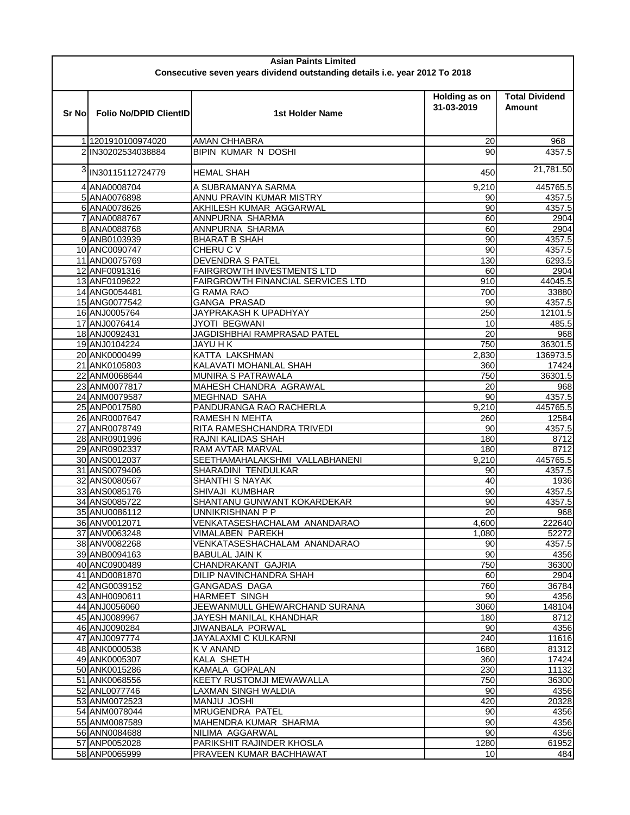| <b>Asian Paints Limited</b>                                                 |                                         |                                                       |                 |                                        |  |  |  |  |
|-----------------------------------------------------------------------------|-----------------------------------------|-------------------------------------------------------|-----------------|----------------------------------------|--|--|--|--|
| Consecutive seven years dividend outstanding details i.e. year 2012 To 2018 |                                         |                                                       |                 |                                        |  |  |  |  |
| Sr No                                                                       | <b>Folio No/DPID ClientID</b>           | Holding as on<br>31-03-2019<br><b>1st Holder Name</b> |                 | <b>Total Dividend</b><br><b>Amount</b> |  |  |  |  |
|                                                                             |                                         |                                                       |                 |                                        |  |  |  |  |
|                                                                             | 11201910100974020<br>2 IN30202534038884 | <b>AMAN CHHABRA</b><br><b>BIPIN KUMAR N DOSHI</b>     | 20<br>90        | 968<br>4357.5                          |  |  |  |  |
|                                                                             |                                         |                                                       |                 |                                        |  |  |  |  |
| 3                                                                           | IN30115112724779                        | <b>HEMAL SHAH</b>                                     | 450             | 21,781.50                              |  |  |  |  |
|                                                                             | 4 ANA0008704                            | 9,210<br>A SUBRAMANYA SARMA                           |                 | 445765.5                               |  |  |  |  |
|                                                                             | 5 ANA0076898                            | ANNU PRAVIN KUMAR MISTRY                              | 90              | 4357.5                                 |  |  |  |  |
|                                                                             | 6 ANA0078626                            | AKHILESH KUMAR AGGARWAL                               | 90              | 4357.5                                 |  |  |  |  |
|                                                                             | 7 ANA0088767                            | ANNPURNA SHARMA                                       | 60              | 2904                                   |  |  |  |  |
|                                                                             | 8 ANA0088768<br>9 ANB0103939            | ANNPURNA SHARMA<br><b>BHARAT B SHAH</b>               | 60<br>90        | 2904<br>4357.5                         |  |  |  |  |
|                                                                             | 10 ANC0090747                           | CHERU C V                                             | 90              | 4357.5                                 |  |  |  |  |
|                                                                             | 11 AND0075769                           | <b>DEVENDRA S PATEL</b>                               | 130             | 6293.5                                 |  |  |  |  |
|                                                                             | 12 ANF0091316                           | <b>FAIRGROWTH INVESTMENTS LTD</b>                     | 60              | 2904                                   |  |  |  |  |
|                                                                             | 13 ANF0109622                           | FAIRGROWTH FINANCIAL SERVICES LTD                     | 910             | 44045.5                                |  |  |  |  |
|                                                                             | 14 ANG0054481                           | <b>G RAMA RAO</b>                                     | 700             | 33880                                  |  |  |  |  |
|                                                                             | 15 ANG0077542                           | <b>GANGA PRASAD</b>                                   | 90              | 4357.5                                 |  |  |  |  |
|                                                                             | 16 ANJ0005764                           | JAYPRAKASH K UPADHYAY                                 | 250             | 12101.5                                |  |  |  |  |
|                                                                             | 17 ANJ0076414                           | JYOTI BEGWANI                                         | 10              | 485.5                                  |  |  |  |  |
|                                                                             | 18 ANJ0092431                           | JAGDISHBHAI RAMPRASAD PATEL                           | $\overline{20}$ | 968                                    |  |  |  |  |
|                                                                             | 19 ANJ0104224                           | <b>JAYU H K</b>                                       | 750             | 36301.5                                |  |  |  |  |
|                                                                             | 20 ANK0000499                           | KATTA LAKSHMAN<br>2,830                               |                 | 136973.5                               |  |  |  |  |
|                                                                             | 21 ANK0105803                           | KALAVATI MOHANLAL SHAH                                | 360             | 17424                                  |  |  |  |  |
|                                                                             | 22 ANM0068644                           | MUNIRA S PATRAWALA                                    | 750             | 36301.5                                |  |  |  |  |
|                                                                             | 23 ANM0077817                           | MAHESH CHANDRA AGRAWAL                                | 20              | 968                                    |  |  |  |  |
|                                                                             | 24 ANM0079587                           | <b>MEGHNAD SAHA</b>                                   | 90              | 4357.5                                 |  |  |  |  |
|                                                                             | 25 ANP0017580                           | PANDURANGA RAO RACHERLA<br>9,210                      |                 | 445765.5                               |  |  |  |  |
|                                                                             | 26 ANR0007647                           | RAMESH N MEHTA                                        | 260             | 12584                                  |  |  |  |  |
|                                                                             | 27 ANR0078749                           | RITA RAMESHCHANDRA TRIVEDI                            | 90              | 4357.5                                 |  |  |  |  |
|                                                                             | 28 ANR0901996<br>29 ANR0902337          | RAJNI KALIDAS SHAH<br>RAM AVTAR MARVAL                | 180<br>180      | 8712<br>8712                           |  |  |  |  |
|                                                                             | 30 ANS0012037                           | SEETHAMAHALAKSHMI VALLABHANENI<br>9,210               |                 | 445765.5                               |  |  |  |  |
|                                                                             | 31 ANS0079406                           | SHARADINI TENDULKAR                                   | 90              | 4357.5                                 |  |  |  |  |
|                                                                             | 32 ANS0080567                           | <b>SHANTHI S NAYAK</b>                                | 40              | 1936                                   |  |  |  |  |
|                                                                             | 33 ANS0085176                           | SHIVAJI KUMBHAR                                       | 90              | 4357.5                                 |  |  |  |  |
|                                                                             | 34 ANS0085722                           | SHANTANU GUNWANT KOKARDEKAR                           | 90              | 4357.5                                 |  |  |  |  |
|                                                                             | 35 ANU0086112                           | UNNIKRISHNAN P P                                      | 20              | 968                                    |  |  |  |  |
|                                                                             | 36 ANV0012071                           | VENKATASESHACHALAM ANANDARAO<br>4,600                 |                 | 222640                                 |  |  |  |  |
|                                                                             | 37 ANV0063248                           | <b>VIMALABEN PAREKH</b><br>1,080                      |                 | 52272                                  |  |  |  |  |
|                                                                             | 38 ANV0082268                           | VENKATASESHACHALAM ANANDARAO                          | 90              | 4357.5                                 |  |  |  |  |
|                                                                             | 39 ANB0094163                           | <b>BABULAL JAIN K</b>                                 | 90              | 4356                                   |  |  |  |  |
|                                                                             | 40 ANC0900489                           | CHANDRAKANT GAJRIA                                    | 750             | 36300                                  |  |  |  |  |
|                                                                             | 41 AND0081870                           | DILIP NAVINCHANDRA SHAH                               | 60              | 2904                                   |  |  |  |  |
|                                                                             | 42 ANG0039152                           | <b>GANGADAS DAGA</b>                                  | 760             | 36784                                  |  |  |  |  |
|                                                                             | 43 ANH0090611                           | <b>HARMEET SINGH</b>                                  | 90              | 4356                                   |  |  |  |  |
|                                                                             | 44 ANJ0056060                           | JEEWANMULL GHEWARCHAND SURANA                         | 3060            | 148104                                 |  |  |  |  |
|                                                                             | 45 ANJ0089967                           | JAYESH MANILAL KHANDHAR<br><b>JIWANBALA PORWAL</b>    | 180             | 8712                                   |  |  |  |  |
|                                                                             | 46 ANJ0090284<br>47 ANJ0097774          | JAYALAXMI C KULKARNI                                  | 90<br>240       | 4356<br>11616                          |  |  |  |  |
|                                                                             | 48 ANK0000538                           | <b>KV ANAND</b>                                       | 1680            | 81312                                  |  |  |  |  |
|                                                                             | 49 ANK0005307                           | KALA SHETH                                            | 360             | 17424                                  |  |  |  |  |
|                                                                             | 50 ANK0015286                           | KAMALA GOPALAN                                        | 230             | 11132                                  |  |  |  |  |
|                                                                             | 51 ANK0068556                           | KEETY RUSTOMJI MEWAWALLA                              | 750             | 36300                                  |  |  |  |  |
|                                                                             | 52 ANL0077746                           | LAXMAN SINGH WALDIA                                   | 90              | 4356                                   |  |  |  |  |
|                                                                             | 53 ANM0072523                           | <b>MANJU JOSHI</b>                                    | 420             | 20328                                  |  |  |  |  |
|                                                                             | 54 ANM0078044                           | MRUGENDRA PATEL                                       | 90              | 4356                                   |  |  |  |  |
|                                                                             | 55 ANM0087589                           | MAHENDRA KUMAR SHARMA                                 | 90              | 4356                                   |  |  |  |  |
|                                                                             | 56 ANN0084688                           | NILIMA AGGARWAL                                       | 90              | 4356                                   |  |  |  |  |
|                                                                             | 57 ANP0052028                           | PARIKSHIT RAJINDER KHOSLA                             | 1280            | 61952                                  |  |  |  |  |
|                                                                             | 58 ANP0065999                           | PRAVEEN KUMAR BACHHAWAT                               | 10              | 484                                    |  |  |  |  |